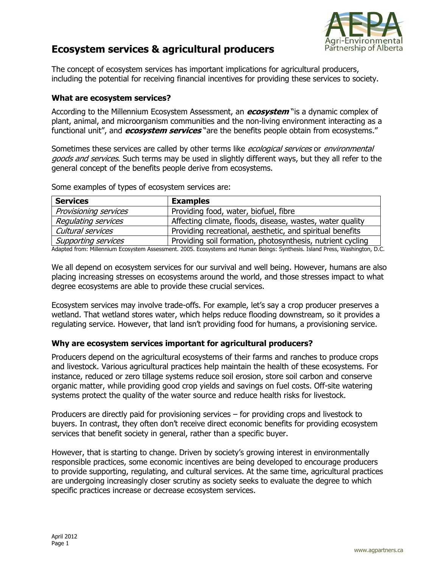

## **Ecosystem services & agricultural producers**

The concept of ecosystem services has important implications for agricultural producers, including the potential for receiving financial incentives for providing these services to society.

## **What are ecosystem services?**

According to the Millennium Ecosystem Assessment, an **ecosystem** "is a dynamic complex of plant, animal, and microorganism communities and the non-living environment interacting as a functional unit", and **ecosystem services** "are the benefits people obtain from ecosystems."

Sometimes these services are called by other terms like *ecological services* or *environmental* goods and services. Such terms may be used in slightly different ways, but they all refer to the general concept of the benefits people derive from ecosystems.

**Services Examples**  Provisioning services Providing food, water, biofuel, fibre Regulating services  $\vert$  Affecting climate, floods, disease, wastes, water quality Cultural services **Providing recreational, aesthetic, and spiritual benefits** Supporting services **Providing soll formation, photosynthesis, nutrient cycling** 

Some examples of types of ecosystem services are:

Adapted from: Millennium Ecosystem Assessment. 2005. Ecosystems and Human Beings: Synthesis. Island Press, Washington, D.C.

We all depend on ecosystem services for our survival and well being. However, humans are also placing increasing stresses on ecosystems around the world, and those stresses impact to what degree ecosystems are able to provide these crucial services.

Ecosystem services may involve trade-offs. For example, let's say a crop producer preserves a wetland. That wetland stores water, which helps reduce flooding downstream, so it provides a regulating service. However, that land isn't providing food for humans, a provisioning service.

## **Why are ecosystem services important for agricultural producers?**

Producers depend on the agricultural ecosystems of their farms and ranches to produce crops and livestock. Various agricultural practices help maintain the health of these ecosystems. For instance, reduced or zero tillage systems reduce soil erosion, store soil carbon and conserve organic matter, while providing good crop yields and savings on fuel costs. Off-site watering systems protect the quality of the water source and reduce health risks for livestock.

Producers are directly paid for provisioning services – for providing crops and livestock to buyers. In contrast, they often don't receive direct economic benefits for providing ecosystem services that benefit society in general, rather than a specific buyer.

However, that is starting to change. Driven by society's growing interest in environmentally responsible practices, some economic incentives are being developed to encourage producers to provide supporting, regulating, and cultural services. At the same time, agricultural practices are undergoing increasingly closer scrutiny as society seeks to evaluate the degree to which specific practices increase or decrease ecosystem services.